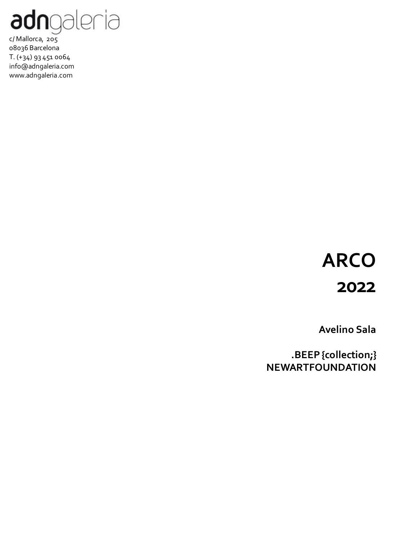

## **ARCO 2022**

**Avelino Sala**

**.BEEP {collection;} NEWARTFOUNDATION**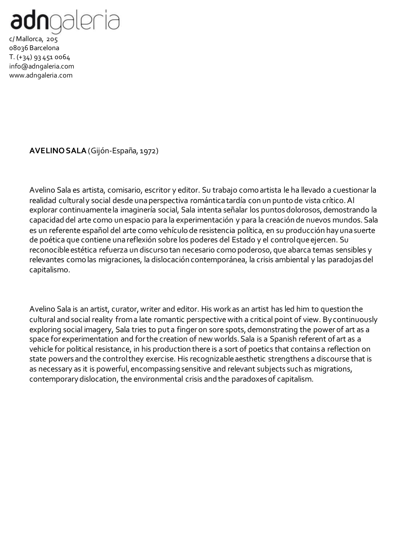

**AVELINO SALA** (Gijón-España, 1972)

Avelino Sala es artista, comisario, escritor y editor. Su trabajo como artista le ha llevado a cuestionar la realidad cultural y social desde una perspectiva romántica tardía con un punto de vista crítico. Al explorar continuamente la imaginería social, Sala intenta señalar los puntos dolorosos, demostrando la capacidad del arte como un espacio para la experimentación y para la creación de nuevos mundos. Sala es un referente español del arte como vehículo de resistencia política, en su producción hay una suerte de poética que contiene una reflexión sobre los poderes del Estado y el control que ejercen. Su reconocible estética refuerza un discurso tan necesario como poderoso, que abarca temas sensibles y relevantes como las migraciones, la dislocación contemporánea, la crisis ambiental y las paradojas del capitalismo.

Avelino Sala is an artist, curator, writer and editor. His workas an artist has led him to question the cultural and social reality from a late romantic perspective with a critical point of view. Bycontinuously exploring social imagery, Sala tries to puta finger on sore spots, demonstrating the power of art as a space for experimentation and forthe creation of new worlds. Sala is a Spanish referent of art as a vehicle for political resistance, in his production there is a sort of poetics that contains a reflection on state powers and the control they exercise. His recognizableaesthetic strengthens a discourse that is as necessary as it is powerful, encompassing sensitive and relevant subjects such as migrations, contemporarydislocation, the environmental crisis and the paradoxes of capitalism.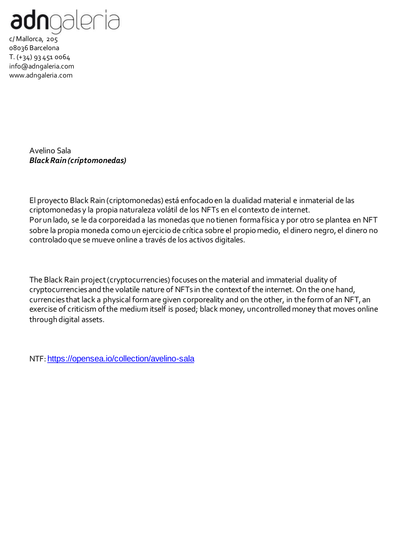

> Avelino Sala *Black Rain (criptomonedas)*

El proyecto Black Rain (criptomonedas) está enfocado en la dualidad material e inmaterial de las criptomonedas y la propia naturaleza volátil de los NFTs en el contexto de internet. Por un lado, se le da corporeidad a las monedas que no tienen forma física y por otro se plantea en NFT sobre la propia moneda como un ejercicio de crítica sobre el propio medio, el dinero negro, el dinero no controlado que se mueve online a través de los activos digitales.

The Black Rain project (cryptocurrencies) focuses on the material and immaterial duality of cryptocurrencies and the volatile nature of NFTs in the context of the internet. On the one hand, currencies that lack a physical form are given corporeality and on the other, in the form of an NFT, an exercise of criticism of the medium itself is posed; black money, uncontrolled money that moves online through digital assets.

NTF: <https://opensea.io/collection/avelino-sala>